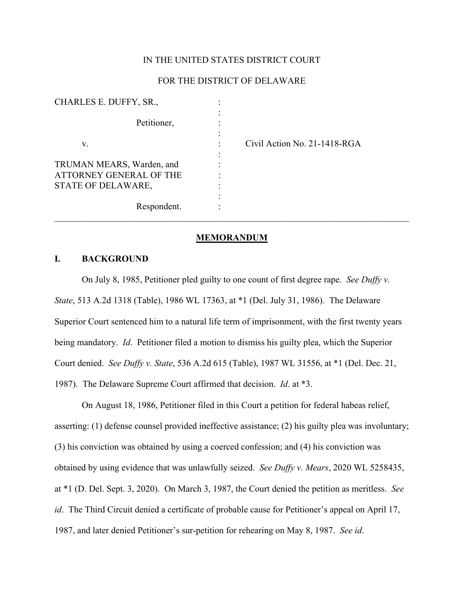### IN THE UNITED STATES DISTRICT COURT

# FOR THE DISTRICT OF DELAWARE

| CHARLES E. DUFFY, SR.,                                                     |                              |
|----------------------------------------------------------------------------|------------------------------|
| Petitioner,                                                                |                              |
| V.                                                                         | Civil Action No. 21-1418-RGA |
| TRUMAN MEARS, Warden, and<br>ATTORNEY GENERAL OF THE<br>STATE OF DELAWARE, |                              |
| Respondent.                                                                |                              |

#### **MEMORANDUM**

### **I. BACKGROUND**

On July 8, 1985, Petitioner pled guilty to one count of first degree rape. *See Duffy v. State*, 513 A.2d 1318 (Table), 1986 WL 17363, at \*1 (Del. July 31, 1986). The Delaware Superior Court sentenced him to a natural life term of imprisonment, with the first twenty years being mandatory. *Id*. Petitioner filed a motion to dismiss his guilty plea, which the Superior Court denied. *See Duffy v. State*, 536 A.2d 615 (Table), 1987 WL 31556, at \*1 (Del. Dec. 21, 1987). The Delaware Supreme Court affirmed that decision. *Id*. at \*3.

On August 18, 1986, Petitioner filed in this Court a petition for federal habeas relief, asserting: (1) defense counsel provided ineffective assistance; (2) his guilty plea was involuntary; (3) his conviction was obtained by using a coerced confession; and (4) his conviction was obtained by using evidence that was unlawfully seized. *See Duffy v. Mears*, 2020 WL 5258435, at \*1 (D. Del. Sept. 3, 2020). On March 3, 1987, the Court denied the petition as meritless. *See id*. The Third Circuit denied a certificate of probable cause for Petitioner's appeal on April 17, 1987, and later denied Petitioner's sur-petition for rehearing on May 8, 1987. *See id*.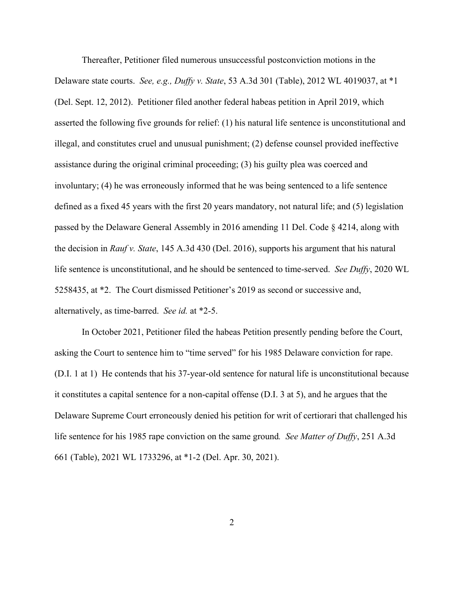Thereafter, Petitioner filed numerous unsuccessful postconviction motions in the Delaware state courts. *See, e.g., Duffy v. State*, 53 A.3d 301 (Table), 2012 WL 4019037, at \*1 (Del. Sept. 12, 2012). Petitioner filed another federal habeas petition in April 2019, which asserted the following five grounds for relief: (1) his natural life sentence is unconstitutional and illegal, and constitutes cruel and unusual punishment; (2) defense counsel provided ineffective assistance during the original criminal proceeding; (3) his guilty plea was coerced and involuntary; (4) he was erroneously informed that he was being sentenced to a life sentence defined as a fixed 45 years with the first 20 years mandatory, not natural life; and (5) legislation passed by the Delaware General Assembly in 2016 amending 11 Del. Code § 4214, along with the decision in *Rauf v. State*, 145 A.3d 430 (Del. 2016), supports his argument that his natural life sentence is unconstitutional, and he should be sentenced to time-served. *See Duffy*, 2020 WL 5258435, at \*2. The Court dismissed Petitioner's 2019 as second or successive and, alternatively, as time-barred. *See id.* at \*2-5.

In October 2021, Petitioner filed the habeas Petition presently pending before the Court, asking the Court to sentence him to "time served" for his 1985 Delaware conviction for rape. (D.I. 1 at 1) He contends that his 37-year-old sentence for natural life is unconstitutional because it constitutes a capital sentence for a non-capital offense (D.I. 3 at 5), and he argues that the Delaware Supreme Court erroneously denied his petition for writ of certiorari that challenged his life sentence for his 1985 rape conviction on the same ground*. See Matter of Duffy*, 251 A.3d 661 (Table), 2021 WL 1733296, at \*1-2 (Del. Apr. 30, 2021).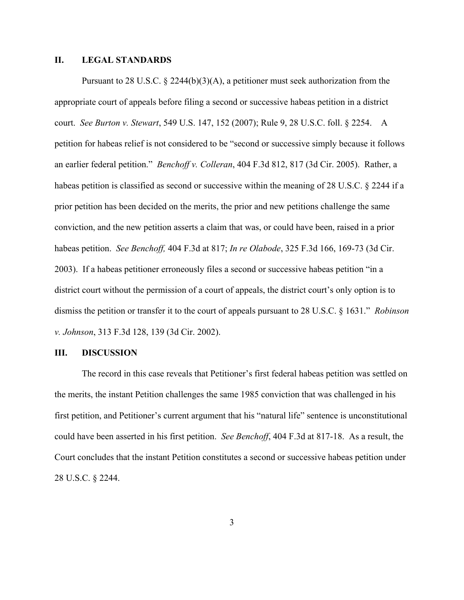### **II. LEGAL STANDARDS**

Pursuant to 28 U.S.C.  $\S$  2244(b)(3)(A), a petitioner must seek authorization from the appropriate court of appeals before filing a second or successive habeas petition in a district court. *See Burton v. Stewart*, 549 U.S. 147, 152 (2007); Rule 9, 28 U.S.C. foll. § 2254. A petition for habeas relief is not considered to be "second or successive simply because it follows an earlier federal petition." *Benchoff v. Colleran*, 404 F.3d 812, 817 (3d Cir. 2005). Rather, a habeas petition is classified as second or successive within the meaning of 28 U.S.C. § 2244 if a prior petition has been decided on the merits, the prior and new petitions challenge the same conviction, and the new petition asserts a claim that was, or could have been, raised in a prior habeas petition. *See Benchoff,* 404 F.3d at 817; *In re Olabode*, 325 F.3d 166, 169-73 (3d Cir. 2003). If a habeas petitioner erroneously files a second or successive habeas petition "in a district court without the permission of a court of appeals, the district court's only option is to dismiss the petition or transfer it to the court of appeals pursuant to 28 U.S.C. § 1631." *Robinson v. Johnson*, 313 F.3d 128, 139 (3d Cir. 2002).

#### **III. DISCUSSION**

The record in this case reveals that Petitioner's first federal habeas petition was settled on the merits, the instant Petition challenges the same 1985 conviction that was challenged in his first petition, and Petitioner's current argument that his "natural life" sentence is unconstitutional could have been asserted in his first petition. *See Benchoff*, 404 F.3d at 817-18. As a result, the Court concludes that the instant Petition constitutes a second or successive habeas petition under 28 U.S.C. § 2244.